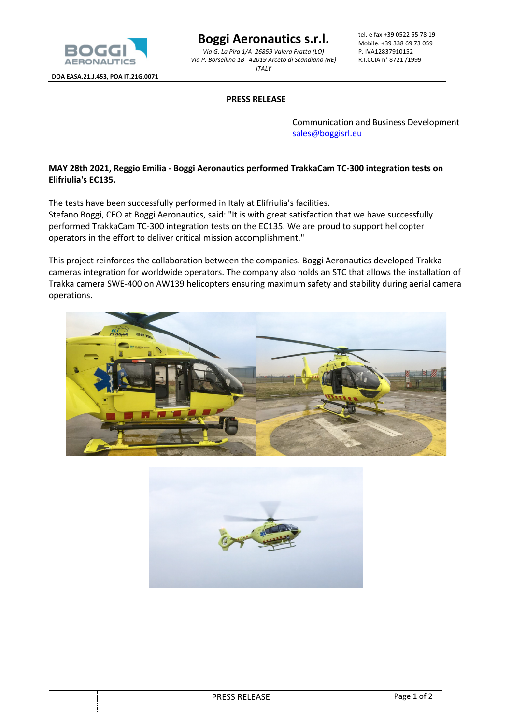

**DOA EASA.21.J.453, POA IT.21G.0071**

**Boggi Aeronautics s.r.l.**

*Via G. La Pira 1/A 26859 Valera Fratta (LO) Via P. Borsellino 1B 42019 Arceto di Scandiano (RE) ITALY*

tel. e fax +39 0522 55 78 19 Mobile. +39 338 69 73 059 P. IVA12837910152 R.I.CCIA n° 8721 /1999

## **PRESS RELEASE**

Communication and Business Development sales@boggisrl.eu

## **MAY 28th 2021, Reggio Emilia - Boggi Aeronautics performed TrakkaCam TC-300 integration tests on Elifriulia's EC135.**

The tests have been successfully performed in Italy at Elifriulia's facilities.

Stefano Boggi, CEO at Boggi Aeronautics, said: "It is with great satisfaction that we have successfully performed TrakkaCam TC-300 integration tests on the EC135. We are proud to support helicopter operators in the effort to deliver critical mission accomplishment."

This project reinforces the collaboration between the companies. Boggi Aeronautics developed Trakka cameras integration for worldwide operators. The company also holds an STC that allows the installation of Trakka camera SWE-400 on AW139 helicopters ensuring maximum safety and stability during aerial camera operations.





| <b>PRESS RELEASE</b> | Page 1 of 2 |
|----------------------|-------------|
|                      |             |